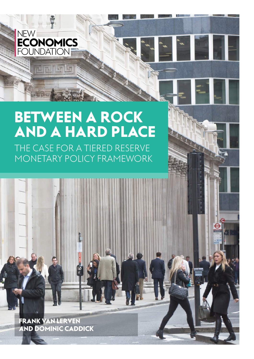

THE CASE FOR A TIERED RESERVE MONETARY POLICY FRAMEWORK

FRANK VAN LERVEN AND DOMINIC CADDICK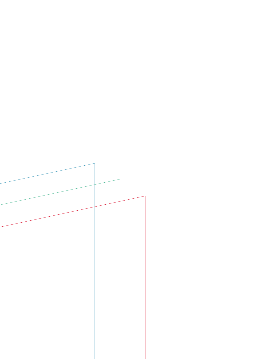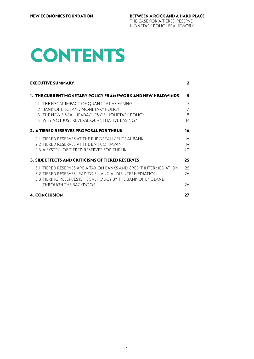# **CONTENTS**

| <b>EXECUTIVE SUMMARY</b>                                                                                                                                                                    | $\overline{\mathbf{2}}$ |
|---------------------------------------------------------------------------------------------------------------------------------------------------------------------------------------------|-------------------------|
| 1. THE CURRENT MONETARY POLICY FRAMEWORK AND NEW HEADWINDS                                                                                                                                  | 5                       |
| 1.1 THE FISCAL IMPACT OF QUANTITATIVE EASING<br>1.2 BANK OF ENGLAND MONETARY POLICY<br>1.3 THE NEW FISCAL HEADACHES OF MONETARY POLICY<br>1.4 WHY NOT JUST REVERSE QUANTITATIVE EASING?     | 5<br>7<br>8<br>14       |
| 2. A TIERED RESERVES PROPOSAL FOR THE UK                                                                                                                                                    | 16                      |
| 2.1 TIERED RESERVES AT THE EUROPEAN CENTRAL BANK<br>2.2 TIERED RESERVES AT THE BANK OF JAPAN<br>2.3 A SYSTEM OF TIERED RESERVES FOR THE UK                                                  | 16<br>19<br>20          |
| <b>3. SIDE EFFECTS AND CRITICISMS OF TIERED RESERVES</b>                                                                                                                                    | 25                      |
| 3.1 TIERED RESERVES ARE A TAX ON BANKS AND CREDIT INTERMEDIATION<br>3.2 TIERED RESERVES LEAD TO FINANCIAL DISINTERMEDIATION<br>3.3 TIERING RESERVES IS FISCAL POLICY BY THE BANK OF ENGLAND | 25<br>26                |
| THROUGH THE BACKDOOR                                                                                                                                                                        | 26                      |
| <b>4. CONCLUSION</b>                                                                                                                                                                        | 27                      |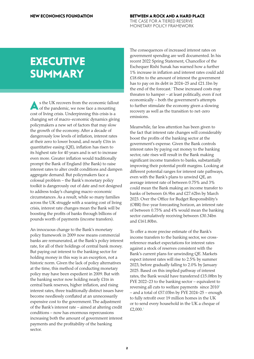### <span id="page-3-0"></span>**EXECUTIVE** SUMMARY

s the UK recovers from the economic fallout of the pandemic, we now face a mounting cost of living crisis. Underpinning this crisis is a changing set of macro-economic dynamics giving policymakers a new set of factors that may slow the growth of the economy. After a decade of dangerously low levels of inflation, interest rates at their zero to lower bound, and nearly £1tn in quantitative easing (QE), inflation has risen to its highest rate for 40 years and is set to increase even more. Greater inflation would traditionally prompt the Bank of England (the Bank) to raise interest rates to alter credit conditions and dampen aggregate demand. But policymakers face a colossal problem – the Bank's monetary policy toolkit is dangerously out of date and not designed to address today's changing macro-economic circumstances. As a result, while so many families across the UK struggle with a soaring cost of living crisis, interest rate changes mean the Bank will be boosting the profits of banks through billions of pounds worth of payments (income transfers).

An innocuous change to the Bank's monetary policy framework in 2009 now means commercial banks are remunerated, at the Bank's policy interest rate, for all of their holdings of central bank money. But paying out interest to the banking sector for holding money in this way is an exception, not a historic norm. Given the lack of policy alternatives at the time, this method of conducting monetary policy may have been expedient in 2009. But with the banking sector now holding nearly £1tn in central bank reserves, higher inflation, and rising interest rates, three traditionally distinct issues have become needlessly conflated at an unnecessarily expensive cost to the government. The adjustment of the Bank's interest rate – aimed at altering credit conditions – now has enormous repercussions increasing both the amount of government interest payments and the profitability of the banking sector.

The consequences of increased interest rates on government spending are well documented. In his recent 2022 Spring Statement, Chancellor of the Exchequer Rishi Sunak has warned how a further 1% increase in inflation and interest rates could add £18.6bn to the amount of interest the government has to pay on its debt in 2024–25 and £21.1bn by the end of the forecast.<sup>[1](#page-29-0)</sup> These increased costs may threaten to hamper – at least politically, even if not economically – both the government's attempts to further stimulate the economy given a slowing recovery as well as the transition to net-zero emissions.

Meanwhile, far less attention has been given to the fact that interest rate changes will considerably boost the profits of the banking sector at the government's expense. Given the Bank controls interest rates by paying out money to the banking sector, rate rises will result in the Bank making significant income transfers to banks, substantially improving their potential profit margins. Looking at different potential ranges for interest rate pathways, even with the Bank's plans to unwind QE, an average interest rate of between 0.75% and 3% could mean the Bank making an income transfer to banks of between £6.9bn and £27.62bn by March 2023. Over the Office for Budget Responsibility's (OBR) five-year forecasting horizon, an interest rate of between 0.75% and 4% would mean the banking sector cumulatively receiving between £30.34bn and £161.80bn.

To offer a more precise estimate of the Bank's income transfers to the banking sector, we crossreference market expectations for interest rates against a stock of reserves consistent with the Bank's current plans for unwinding QE. Markets expect interest rates will rise to 2.5% by summer 2023, before gradually falling to 2.0% by January 2025. Based on this implied pathway of interest rates, the Bank would have transferred £15.08bn by FYE 2022–23 to the banking sector – equivalent to reversing all cuts to welfare payments since [2](#page-29-0)010<sup>2</sup> – and a total of £57.03bn by FYE 2024–25 – enough to fully retrofit over 19 million homes in the UK or to send every household in the UK a cheque of £2,000 $3$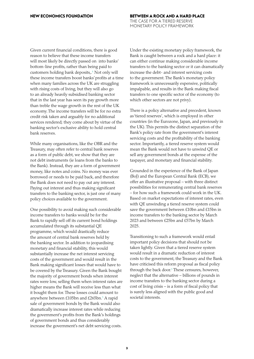<span id="page-4-0"></span>Given current financial conditions, there is good reason to believe that these income transfers will most likely be directly passed on into banks' bottom-line profits, rather than being paid to customers holding bank deposits,.[4](#page-29-0) Not only will these income transfers boost banks' profits at a time when many families across the UK are struggling with rising costs of living, but they will also go to an already heavily subsidised banking sector that in the last year has seen its pay growth more than treble the wage growth in the rest of the UK economy. The income transfers will be for no extra credit risk taken and arguably for no additional services rendered; they come about by virtue of the banking sector's exclusive ability to hold central bank reserves.

While many organisations, like the OBR and the Treasury, may often refer to central bank reserves as a form of public debt, we show that they are not debt instruments (ie loans from the banks to the Bank). Instead, they are a form of government money, like notes and coins. No money was ever borrowed or needs to be paid back, and therefore the Bank does not need to pay out any interest. Paying out interest and thus making significant transfers to the banking sector, is just one of many policy choices available to the government.

One possibility to avoid making such considerable income transfers to banks would be for the Bank to rapidly sell off its current bond holdings accumulated through its substantial QE programme, which would drastically reduce the amount of central bank reserves held by the banking sector. In addition to jeopardising monetary and financial stability, this would substantially increase the net interest servicing costs of the government and would result in the Bank making significant losses that would have to be covered by the Treasury. Given the Bank bought the majority of government bonds when interest rates were low, selling them when interest rates are higher means the Bank will receive less than what it bought them for. These losses could amount to anywhere between £105bn and £265bn.<sup>5</sup> A rapid sale of government bonds by the Bank would also dramatically increase interest rates while reducing the government's profits from the Bank's holdings of government bonds and thus considerably increase the government's net debt servicing costs.

Under the existing monetary policy framework, the Bank is caught between a rock and a hard place: it can either continue making considerable income transfers to the banking sector or it can dramatically increase the debt- and interest servicing costs to the government. The Bank's monetary policy framework is unnecessarily expensive, politically impalpable, and results in the Bank making fiscal transfers to one specific sector of the economy (to which other sectors are not privy).

There is a policy alternative and precedent, known as 'tiered reserves', which is employed in other countries (in the Eurozone, Japan, and previously in the UK). This permits the distinct separation of the Bank's policy rate from the government's interest servicing costs and the profitability of the banking sector. Importantly, a tiered reserve system would mean the Bank would not have to unwind QE or sell any government bonds at the expense of the taxpayer, and monetary and financial stability.

Grounded in the experience of the Bank of Japan (BoJ) and the European Central Bank (ECB), we offer an illustrative proposal – with three distinct possibilities for remunerating central bank reserves – for how such a framework could work in the UK. Based on market expectations of interest rates, even with QE unwinding a tiered reserve system could save the government between £10bn and £15bn in income transfers to the banking sector by March 2023 and between £25bn and £57bn by March 2025.

Transitioning to such a framework would entail important policy decisions that should not be taken lightly. Given that a tiered reserve system would result in a dramatic reduction of interest costs to the government, the Treasury and the Bank have criticised this reform proposal as fiscal policy through the back door.<sup>[6](#page-29-0)</sup> These censures, however, neglect that the alternative – billions of pounds in income transfers to the banking sector during a cost of living crisis – is a form of fiscal policy that is surely less aligned with the public good and societal interests.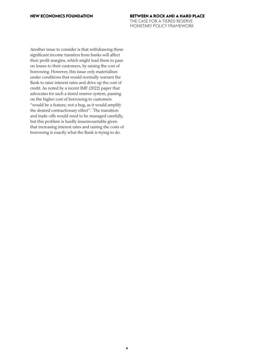THE CASE FOR A TIERED RESERVE MONETARY POLICY FRAMEWORK

<span id="page-5-0"></span>Another issue to consider is that withdrawing these significant income transfers from banks will affect their profit margins, which might lead them to pass on losses to their customers, by raising the cost of borrowing. However, this issue only materialises under conditions that would normally warrant the Bank to raise interest rates and drive up the cost of credit. As noted by a recent IMF (2022) paper that advocates for such a tiered reserve system, passing on the higher cost of borrowing to customers "would be a feature, not a bug, as it would amplify the desired contractionary effect".<sup>[7](#page-29-0)</sup> The transition and trade-offs would need to be managed carefully, but this problem is hardly insurmountable given that increasing interest rates and raising the costs of borrowing is exactly what the Bank is trying to do.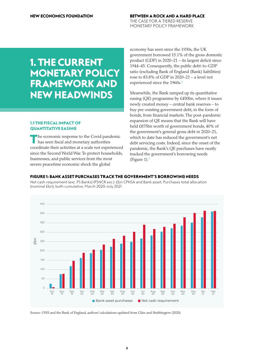### <span id="page-6-0"></span>1. THE CURRENT MONETARY POLICY FRAMEWORK AND NEW HEADWINDS

#### 1.1 THE FISCAL IMPACT OF QUANTITATIVE EASING

The economic response to the Covid pandemic has seen fiscal and monetary authorities coordinate their activities at a scale not experienced since the Second World War. To protect households, businesses, and public services from the most severe peacetime economic shock the global

economy has seen since the 1930s, the UK government borrowed 15.1% of the gross domestic product (GDP) in 2020–21 – its largest deficit since 1944–45. Consequently, the public debt-to-GDP ratio (excluding Bank of England (Bank) liabilities) rose to 83.8% of GDP in 2020–21 – a level not experienced since the 1960s.<sup>[8](#page-29-0)</sup>

Meanwhile, the Bank ramped up its quantitative easing (QE) programme by £450bn, where it issues newly created money – central bank reserves – to buy pre-existing government debt, in the form of bonds, from financial markets. The post-pandemic expansion of QE means that the Bank will have held £875bn worth of government bonds, 40% of the government's general gross debt in 2020–21, which to date has reduced the government's net debt servicing costs. Indeed, since the onset of the pandemic, the Bank's QE purchases have neatly tracked the government's borrowing needs (Figure 1). $9$ 

#### FIGURE 1: BANK ASSET PURCHASES TRACK THE GOVERNMENT'S BORROWING NEEDS

Net cash requirement (exc. PS Banks) (PSNCR exc.): £bn CPNSA and Bank asset; Purchases total allocation (nominal £bn), both cumulative, March 2020–July 2021.



Source: ONS and the Bank of England, authors' calculations updated from Giles and Stubbington (2020)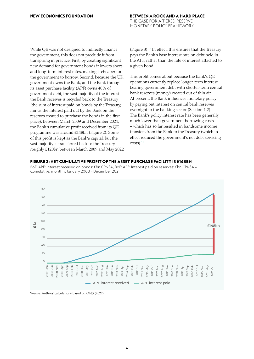<span id="page-7-0"></span>While QE was not designed to indirectly finance the government, this does not preclude it from transpiring in practice. First, by creating significant new demand for government bonds it lowers shortand long-term interest rates, making it cheaper for the government to borrow. Second, because the UK government owns the Bank, and the Bank through its asset purchase facility (APF) owns 40% of government debt, the vast majority of the interest the Bank receives is recycled back to the Treasury (the sum of interest paid on bonds by the Treasury, minus the interest paid out by the Bank on the reserves created to purchase the bonds in the first place). Between March 2009 and December 2021, the Bank's cumulative profit received from its QE programme was around £148bn (Figure 2). Some of this profit is kept as the Bank's capital, but the vast majority is transferred back to the Treasury – roughly £120bn between March 2009 and May 2022

(Figure 3). $^{10}$  In effect, this ensures that the Treasury pays the Bank's base interest rate on debt held in the APF, rather than the rate of interest attached to a given bond.

This profit comes about because the Bank's QE operations currently replace longer-term interestbearing government debt with shorter-term central bank reserves (money) created out of thin air. At present, the Bank influences monetary policy by paying out interest on central bank reserves overnight to the banking sector (Section 1.2). The Bank's policy interest rate has been generally much lower than government borrowing costs – which has so far resulted in handsome income transfers from the Bank to the Treasury (which in effect reduced the government's net debt servicing  $costs$ ). $^{11}$ 

#### FIGURE 2: NET CUMULATIVE PROFIT OF THE ASSET PURCHASE FACILITY IS £148BN

BoE: APF: Interest received on bonds: £bn CPNSA, BoE: APF: Interest paid on reserves: £bn CPNSA – Cumulative, monthly, January 2008 – December 2021



Source: Authors' calculations based on ONS (2022)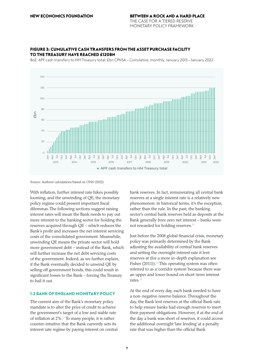THE CASE FOR A TIERED RESERVE MONETARY POLICY FRAMEWORK



#### <span id="page-8-0"></span>FIGURE 3: CUMULATIVE CASH TRANSFERS FROM THE ASSET PURCHASE FACILITY TO THE TREASURY HAVE REACHED £120BN

BoE: APF cash transfers to HM Treasury total: £bn CPNSA – Cumulative, monthly, January 2013 – January 2022

Source: Authors' calculations based on ONS (2022)

With inflation, further interest rate hikes possibly looming, and the unwinding of QE, the monetary policy regime could present important fiscal dilemmas. The following sections suggest raising interest rates will mean the Bank needs to pay out more interest to the banking sector for holding the reserves acquired through QE – which reduces the Bank's profit and increases the net interest servicing costs of the consolidated government. Meanwhile, unwinding QE means the private sector will hold more government debt – instead of the Bank, which will further increase the net debt servicing costs of the government. Indeed, as we further explain, if the Bank eventually decided to unwind QE by selling off government bonds, this could result in significant losses to the Bank – forcing the Treasury to bail it out.

#### 1.2 BANK OF ENGLAND MONETARY POLICY

The current aim of the Bank's monetary policy mandate is to alter the price of credit to achieve the government's target of a low and stable rate of inflation at 2%.[12](#page-29-0) To many people, it is rather counter-intuitive that the Bank currently sets its interest rate regime by paying interest on central bank reserves. In fact, remunerating all central bank reserves at a single interest rate is a relatively new phenomenon: in historical terms, it's the exception, rather than the rule. In the past, the banking sector's central bank reserves held as deposits at the Bank generally bore zero net interest – banks were not rewarded for holding reserves.<sup>13</sup>

Just before the 2008 global financial crisis, monetary policy was primarily determined by the Bank adjusting the availability of central bank reserves and setting the overnight interest rate it lent reserves at (for a more in-depth explanation see Fisher  $(2011)$ ).<sup>[14](#page-29-0)</sup> This operating system was often referred to as a 'corridor system' because there was an upper and lower bound on short-term interest rates.<sup>15</sup>

At the end of every day, each bank needed to have a non-negative reserve balance. Throughout the day, the Bank lent reserves at the official Bank rate to help ensure banks had enough reserves to meet their payment obligations. However, if at the end of the day a bank was short of reserves, it could access the additional overnight 'late lending' at a penalty rate that was higher than the official Bank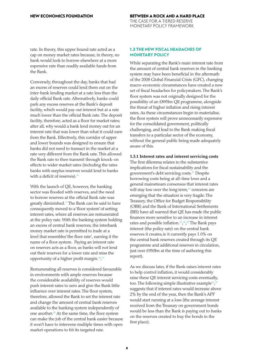THE CASE FOR A TIERED RESERVE MONETARY POLICY FRAMEWORK

<span id="page-9-0"></span>rate. In theory, this upper bound rate acted as a cap on money market rates because, in theory, no bank would look to borrow elsewhere at a more expensive rate than readily available funds from the Bank.

Conversely, throughout the day, banks that had an excess of reserves could lend them out on the inter-bank lending market at a rate less than the daily official Bank rate. Alternatively, banks could park any excess reserves at the Bank's deposit facility, which would pay out interest but at a rate much lower than the official Bank rate. The deposit facility, therefore, acted as a floor for market rates; after all, why would a bank lend money out for an interest rate that was lower than what it could earn from the Bank. Effectively, this corridor of upper and lower bounds was designed to ensure that banks did not need to transact in the market at a rate very different from the Bank rate. This allowed the Bank rate to then transmit through knock-on effects to wider market rates (including the rates banks with surplus reserves would lend to banks with a deficit of reserves).<sup>[16](#page-29-0)</sup>

With the launch of QE, however, the banking sector was flooded with reserves, and the need to borrow reserves at the official Bank rate was greatly diminished[.17](#page-29-0) The Bank can be said to have consequently moved to a 'floor system' of setting interest rates, where all reserves are remunerated at the policy rate. With the banking system holding an excess of central bank reserves, the interbank money market rate is permitted to trade at a level that resembles 'the floor rate', earning it the name of a floor system. Paying an interest rate on reserves acts as a floor, as banks will not lend out their reserves for a lower rate and miss the opportunity of a higher profit margin. $^{18}$ ,  $^{19}$  $^{19}$  $^{19}$ 

Remunerating all reserves is considered favourable in environments with ample reserves because the considerable availability of reserves would push interest rates to zero and give the Bank little influence over interest rates. The floor system, therefore, allowed the Bank to set the interest rate and change the amount of central bank reserves available to the banking system independently of one another[.20](#page-29-0) At the same time, the floor system can make the job of the central bank easier because it won't have to intervene multiple times with open market operations to hit its targeted rate.

#### 1.3 THE NEW FISCAL HEADACHES OF MONETARY POLICY

While separating the Bank's main interest rate from the amount of central bank reserves in the banking system may have been beneficial in the aftermath of the 2008 Global Financial Crisis (GFC), changing macro-economic circumstances have created a new set of fiscal headaches for policymakers. The Bank's floor system was not originally designed for the possibility of an £895bn QE programme, alongside the threat of higher inflation and rising interest rates. As these circumstances begin to materialise, the floor system will prove unnecessarily expensive for the consolidated government, politically challenging, and lead to the Bank making fiscal transfers to a particular sector of the economy, without the general public being made adequately aware of this.

#### **1.3.1 Interest rates and interest servicing costs**

The first dilemma relates to the substantive implications for fiscal sustainability and the government's debt servicing costs.[21](#page-30-0) Despite borrowing costs being at all-time lows and a general mainstream consensus that interest rates will stay low over the long term, $22$  concerns are emerging that the situation is very fragile. The Treasury, the Office for Budget Responsibility (OBR) and the Bank of International Settlements (BIS) have all warned that QE has made the public finances more sensitive to an increase in interest rates and possible inflation.<sup>23</sup>,<sup>[24](#page-30-0)</sup>,<sup>25</sup> The Bank pays interest (the policy rate) on the central bank reserves it creates,ie it currently pays 1.0% on the central bank reserves created through its QE programme and additional reserves in circulation, just over £950bn at the time of authoring this report).

As we discuss later, if the Bank raises interest rates to help control inflation, it would considerably raise these QE interest servicing costs eventually, too. The following simple illustrative example<sup>26</sup>,<sup>[27](#page-30-0)</sup> suggests that if interest rates would increase above 2% by the end of the year, then the Bank's APF would start running at a loss (the average interest received from the Treasury on government bonds would be less than the Bank is paying out to banks on the reserves created to buy the bonds in the first place).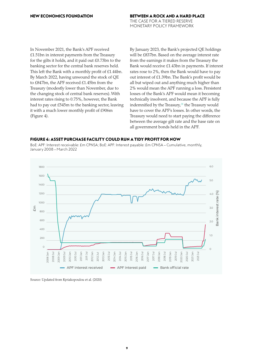<span id="page-10-0"></span>In November 2021, the Bank's APF received £1.51bn in interest payments from the Treasury for the gilts it holds, and it paid out £0.73bn to the banking sector for the central bank reserves held. This left the Bank with a monthly profit of £1.44bn. By March 2022, having unwound the stock of QE to £847bn, the APF received £1.45bn from the Treasury (modestly lower than November, due to the changing stock of central bank reserves). With interest rates rising to 0.75%, however, the Bank had to pay out £545m to the banking sector, leaving it with a much lower monthly profit of £906m (Figure 4).

By January 2023, the Bank's projected QE holdings will be £837bn. Based on the average interest rate from the earnings it makes from the Treasury the Bank would receive £1.43bn in payments. If interest rates rose to 2%, then the Bank would have to pay out interest of £1.39bn. The Bank's profit would be all but wiped out and anything much higher than 2% would mean the APF running a loss. Persistent losses of the Bank's APF would mean it becoming technically insolvent, and because the APF is fully indemnified by the Treasury,<sup>28</sup> the Treasury would have to cover the APF's losses. In other words, the Treasury would need to start paying the difference between the average gilt rate and the base rate on all government bonds held in the APF.

#### FIGURE 4: ASSET PURCHASE FACILITY COULD RUN A TIDY PROFIT FOR NOW

BoE: APF: Interest receivable: £m CPNSA; BoE: APF: Interest payable: £m CPNSA – Cumulative, monthly, January 2008 – March 2022



Source: Updated from Kyriakopoulou et al. (2020)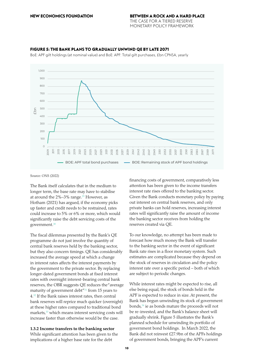THE CASE FOR A TIERED RESERVE MONETARY POLICY FRAMEWORK



#### <span id="page-11-0"></span>FIGURE 5: THE BANK PLANS TO GRADUALLY UNWIND QE BY LATE 2071

BoE: APF gilt holdings (at nominal value) and BoE: APF: Total gilt purchases, £bn CPNSA, yearly

#### Source: ONS (2022)

The Bank itself calculates that in the medium to longer term, the base rate may have to stabilise at around the  $2\% - 3\%$  range.<sup>29</sup> However, as Hotham (2021) has argued, if the economy picks up faster and credit needs to be restrained, rates could increase to 5% or 6% or more, which would significantly raise the debt servicing costs of the government.[30](#page-30-0)

The fiscal dilemmas presented by the Bank's QE programme do not just involve the quantity of central bank reserves held by the banking sector, but they also concern timings. QE has considerably increased the average speed at which a change in interest rates affects the interest payments by the government to the private sector. By replacing longer-dated government bonds at fixed interest rates with overnight interest-bearing central bank reserves, the OBR suggests QE reduces the "average maturity of government debt["31](#page-30-0) from 15 years to 4[.32](#page-30-0) If the Bank raises interest rates, then central bank reserves will reprice much quicker (overnight) at these higher rates compared to traditional bond markets,<sup>33</sup> which means interest servicing costs will increase faster than otherwise would be the case.

**1.3.2 Income transfers to the banking sector** While significant attention has been given to the implications of a higher base rate for the debt

financing costs of government, comparatively less attention has been given to the income transfers interest rate rises offered to the banking sector. Given the Bank conducts monetary policy by paying out interest on central bank reserves, and only private banks can hold reserves, increasing interest rates will significantly raise the amount of income the banking sector receives from holding the reserves created via QE.

To our knowledge, no attempt has been made to forecast how much money the Bank will transfer to the banking sector in the event of significant Bank rate rises in a floor monetary system. Such estimates are complicated because they depend on the stock of reserves in circulation and the policy interest rate over a specific period – both of which are subject to periodic changes.

While interest rates might be expected to rise, all else being equal, the stock of bonds held in the APF is expected to reduce in size. At present, the Bank has begun unwinding its stock of government bonds,<sup>34</sup> ie as bonds mature the proceeds will not be re-invested, and the Bank's balance sheet will gradually shrink. Figure 5 illustrates the Bank's planned schedule for unwinding its portfolio of government bond holdings. In March 2022, the Bank did not reinvest £27.9bn of the APFs holdings of government bonds, bringing the APF's current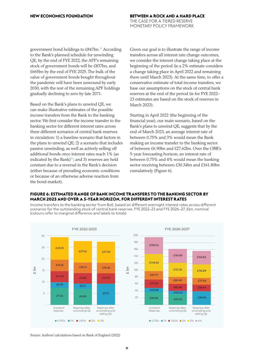#### BETWEEN A ROCK AND A HARD PLACE THE CASE FOR A TIERED RESERVE

MONETARY POLICY FRAMEWORK

<span id="page-12-0"></span>government bond holdings to £847bn[.35](#page-30-0) According to the Bank's planned schedule for unwinding QE, by the end of FYE 2022, the APF's remaining stock of government bonds will be £837bn, and £665bn by the end of FYE 2025. The bulk of the value of government bonds bought throughout the pandemic will have been unwound by early 2030, with the rest of the remaining APF holdings gradually declining to zero by late 2071.

Based on the Bank's plans to unwind QE, we can make illustrative estimates of the possible income transfers from the Bank to the banking sector. We first consider the income transfer to the banking sector for different interest rates across three different scenarios of central bank reserves in circulation: 1) a baseline scenario that factors in the plans to unwind QE; 2) a scenario that includes passive unwinding, as well as actively selling off additional bonds once interest rates reach 1% (as indicated by the Bank) $36$ ; and 3) reserves are held constant due to a reversal in the Bank's decision (either because of prevailing economic conditions or because of an otherwise adverse reaction from the bond market).

Given our goal is to illustrate the range of income transfers across all interest rate change outcomes, we consider the interest change taking place at the beginning of the period (ie a 2% estimate considers a change taking place in April 2022 and remaining there until March 2023). At the same time, to offer a conservative estimate of total income transfers, we base our assumptions on the stock of central bank reserves at the end of the period (ie for FYE 2022– 23 estimates are based on the stock of reserves in March 2023).

Starting in April 2022 (the beginning of the financial year), our main scenario, based on the Bank's plans to unwind QE, suggests that by the end of March 2023, an average interest rate of between 0.75% and 3% would mean the Bank making an income transfer to the banking sector of between £6.90bn and £27.62bn. Over the OBR's 5-year forecasting horizon, an interest rate of between 0.75% and 4% would mean the banking sector receiving between £30.34bn and £161.80bn cumulatively (Figure 6).

#### FIGURE 6: ESTIMATED RANGE OF BANK INCOME TRANSFERS TO THE BANKING SECTOR BY MARCH 2023 AND OVER A 5-YEAR HORIZON, FOR DIFFERENT INTEREST RATES

Income transfers to the banking sector from BoE, based on different overnight interest rates across different scenarios for the outstanding stock of central bank reserves. FYE 2022–23 and FYE 2026–27, £bn, nominal (colours refer to marginal difference and labels to totals)



Source: Authors' calculations based on Bank of England (2022)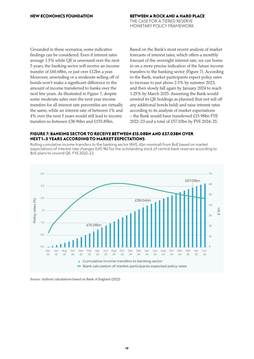Grounded in these scenarios, some indicative findings can be considered. Even if interest rates average 1.5% while QE is unwound over the next 5 years, the banking sector will receive an income transfer of £60.68bn, or just over £12bn a year. Moreover, unwinding or a moderate selling off of bonds won't make a significant difference to the amount of income transferred to banks over the next few years. As illustrated in Figure 7, despite some moderate sales over the next year income transfers for all interest rate percentiles are virtually the same, while an interest rate of between 1% and 4% over the next 5 years would still lead to income transfers so between £38.96bn and £155.85bn.

Based on the Bank's most recent analysis of market forecasts of interest rates, which offers a monthly forecast of the overnight interest rate, we can home in on a more precise indication of the future income transfers to the banking sector (Figure 7). According to the Bank, market participants expect policy rates to increase to just above 2.5% by summer 2023, and then slowly fall again by January 2024 to reach 1.25% by March 2025. Assuming the Bank would unwind its QE holdings as planned (but not sell off any additional bonds held) and raise interest rates according to its analysis of market expectations – the Bank would have transferred £15.98bn FYE 2022–23 and a total of £57.03bn by FYE 2024–25.

#### FIGURE 7: BANKING SECTOR TO RECEIVE BETWEEN £15.08BN AND £57.03BN OVER NEXT 1–3 YEARS ACCORDING TO MARKET EXPECTATIONS

Rolling cumulative income transfers to the banking sector (RHS, £bn nominal) from BoE based on market expectations of interest rate changes (LHS %) for the outstanding stock of central bank reserves according to BoE plans to unwind QE, FYE 2022–23.



Source: Authors' calculations based on Bank of England (2022)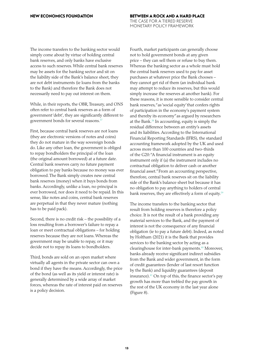<span id="page-14-0"></span>The income transfers to the banking sector would simply come about by virtue of holding central bank reserves, and only banks have exclusive access to such reserves. While central bank reserves may be assets for the banking sector and sit on the liability side of the Bank's balance sheet, they are not debt instruments (ie loans from the banks to the Bank) and therefore the Bank does not necessarily need to pay out interest on them.

While, in their reports, the OBR, Treasury, and ONS often refer to central bank reserves as a form of government 'debt', they are significantly different to government bonds for several reasons[.37](#page-30-0)

First, because central bank reserves are not loans (they are electronic versions of notes and coins) they do not mature in the way sovereign bonds do. Like any other loan, the government is obliged to repay bondholders the principal of the loan (the original amount borrowed) at a future date. Central bank reserves carry no future payment obligation to pay banks because no money was ever borrowed. The Bank simply creates new central bank reserves (money) when it buys bonds from banks. Accordingly, unlike a loan, no principal is ever borrowed, nor does it need to be repaid. In this sense, like notes and coins, central bank reserves are perpetual in that they never mature (nothing has to be paid pack).

Second, there is no credit risk – the possibility of a loss resulting from a borrower's failure to repay a loan or meet contractual obligations – for holding reserves because they are not loans. Whereas the government may be unable to repay, or it may decide not to repay its loans to bondholders.

Third, bonds are sold on an open market where virtually all agents in the private sector can own a bond if they have the means. Accordingly, the price of the bond (as well as its yield or interest rate) is generally determined by a wide array of market forces, whereas the rate of interest paid on reserves is a policy decision.

Fourth, market participants can generally choose not to hold government bonds at any given price – they can sell them or refuse to buy them. Whereas the banking sector as a whole must hold the central bank reserves used to pay for asset purchases at whatever price the Bank chooses – they cannot get rid of them (an individual bank may attempt to reduce its reserves, but this would simply increase the reserves at another bank). For these reasons, it is more sensible to consider central bank reserves, "as 'social equity' that confers rights of participation in the economy's payment system and thereby its economy" as argued by researchers at the Bank[.38](#page-30-0) In accounting, equity is simply the residual difference between an entity's assets and its liabilities. According to the International Financial Reporting Standards (IFRS), the standard accounting framework adopted by the UK and used across more than 100 countries and two-thirds of the G20: "A financial instrument is an equity instrument only if (a) the instrument includes no contractual obligation to deliver cash or another financial asset." From an accounting perspective, therefore, central bank reserves sit on the liability side of the Bank's balance sheet but because it has no obligation to pay anything to holders of central bank reserves, they are effectively a form of equity.<sup>39</sup>

The income transfers to the banking sector that result from holding reserves is therefore a policy choice. It is not the result of a bank providing any material services to the Bank, and the payment of interest is not the consequence of any financial obligation (ie to pay a future debt). Indeed, as noted by Holtham (2021) it is the Bank that provides services to the banking sector by acting as a clearinghouse for inter-bank payments.<sup>40</sup> Moreover, banks already receive significant indirect subsidies from the Bank and wider government, in the form of credit guarantees (lender of last resort function by the Bank) and liquidity guarantees (deposit insurance). $41$  On top of this, the finance sector's pay growth has more than trebled the pay growth in the rest of the UK economy in the last year alone (Figure 8).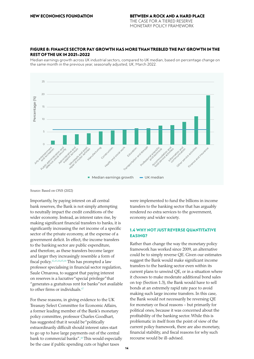THE CASE FOR A TIERED RESERVE MONETARY POLICY FRAMEWORK

#### <span id="page-15-0"></span>FIGURE 8: FINANCE SECTOR PAY GROWTH HAS MORE THAN TREBLED THE PAY GROWTH IN THE REST OF THE UK IN 2021–2022

Median earnings growth across UK industrial sectors, compared to UK median, based on percentage change on the same month in the previous year, seasonally adjusted, UK, March 2022.



Source: Based on ONS (2022)

Importantly, by paying interest on all central bank reserves, the Bank is not simply attempting to neutrally impact the credit conditions of the wider economy. Instead, as interest rates rise, by making significant financial transfers to banks, it is significantly increasing the net income of a specific sector of the private economy, at the expense of a government deficit. In effect, the income transfers to the banking sector are public expenditure, and therefore, as these transfers become larger and larger they increasingly resemble a form of fiscal policy[.42](#page-30-0),[43](#page-30-0),[44,45,46](#page-30-0) This has prompted a law professor specialising in financial sector regulation, Saule Omarova, to suggest that paying interest on reserves is a lucrative "special privilege" that "generates a gratuitous rent for banks" not available to other firms or individuals.<sup>[47](#page-30-0)</sup>

For these reasons, in giving evidence to the UK Treasury Select Committee for Economic Affairs, a former leading member of the Bank's monetary policy committee, professor Charles Goodhart, has suggested that it would be "politically extraordinarily difficult should interest rates start to go up to have large payments out of the central bank to commercial banks".<sup>48</sup> This would especially be the case if public spending cuts or higher taxes

were implemented to fund the billions in income transfers to the banking sector that has arguably rendered no extra services to the government, economy and wider society.

#### 1.4 WHY NOT JUST REVERSE QUANTITATIVE EASING?

Rather than change the way the monetary policy framework has worked since 2009, an alternative could be to simply reverse QE. Given our estimates suggest the Bank would make significant income transfers to the banking sector even within its current plans to unwind QE, or in a situation where it chooses to make moderate additional bond sales on top (Section 1.3), the Bank would have to sell bonds at an extremely rapid rate pace to avoid making such large income transfers. In this case, the Bank would not necessarily be reversing QE for monetary or fiscal reasons – but primarily for political ones, because it was concerned about the profitability of the banking sector. While this is problematic in itself from the point of view of the current policy framework, there are also monetary, financial stability, and fiscal reasons for why such recourse would be ill-advised.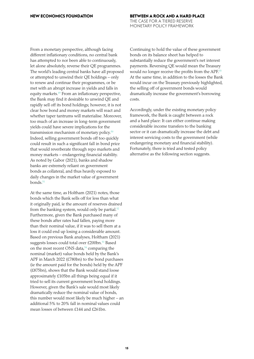<span id="page-16-0"></span>From a monetary perspective, although facing different inflationary conditions, no central bank has attempted to nor been able to continuously, let alone absolutely, reverse their QE programmes. The world's leading central banks have all proposed or attempted to unwind their QE holdings – only to renew and continue their programmes, or be met with an abrupt increase in yields and falls in equity markets[.49](#page-30-0) From an inflationary perspective, the Bank may find it desirable to unwind QE and rapidly sell off its bond holdings; however, it is not clear how bond and money markets will react and whether taper tantrums will materialise. Moreover, too much of an increase in long-term government yields could have severe implications for the transmission mechanism of monetary policy.<sup>[50](#page-30-0)</sup> Indeed, selling government bonds off too quickly could result in such a significant fall in bond price that would reverberate through repo markets and money markets – endangering financial stability. As noted by Gabor (2021), banks and shadow banks are extremely reliant on government bonds as collateral, and thus heavily exposed to daily changes in the market value of government bonds[.51](#page-30-0)

At the same time, as Holtham (2021) notes, those bonds which the Bank sells off for less than what it originally paid, ie the amount of reserves drained from the banking system, would only be partial.<sup>52</sup> Furthermore, given the Bank purchased many of these bonds after rates had fallen, paying more than their nominal value, if it was to sell them at a loss it could end up losing a considerable amount. Based on previous Bank analyses, Holtham (2021) suggests losses could total over £200bn.<sup>53</sup> Based on the most recent ONS data,<sup>54</sup> comparing the nominal (market) value bonds held by the Bank's APF in March 2022 (£780bn) to the bond purchases (ie the amount paid for the bonds) held by the APF (£875bn), shows that the Bank would stand loose approximately £105bn all things being equal if it tried to sell its current government bond holdings. However, given the Bank's sale would most likely dramatically reduce the nominal value of bonds, this number would most likely be much higher – an additional 5% to 20% fall in nominal values could mean losses of between £144 and £261bn.

Continuing to hold the value of these government bonds on its balance sheet has helped to substantially reduce the government's net interest payments. Reversing QE would mean the Treasury would no longer receive the profits from the APF.<sup>[55](#page-31-0)</sup> At the same time, in addition to the losses the Bank would incur on the Treasury previously highlighted, the selling off of government bonds would dramatically increase the government's borrowing costs.

Accordingly, under the existing monetary policy framework, the Bank is caught between a rock and a hard place: It can either continue making considerable income transfers to the banking sector or it can dramatically increase the debt and interest servicing costs to the government (while endangering monetary and financial stability). Fortunately, there is tried and tested policy alternative as the following section suggests.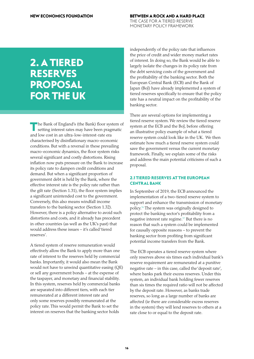### <span id="page-17-0"></span>2. A TIERED **RESERVES** PROPOSAL FOR THE UK

The Bank of England's (the Bank) floor system of setting interest rates may have been pragmatic and low cost in an ultra-low-interest-rate era characterised by disinflationary macro-economic conditions. But with a reversal in these prevailing macro-economic dynamics, the floor system risks several significant and costly distortions. Rising inflation now puts pressure on the Bank to increase its policy rate to dampen credit conditions and demand. But when a significant proportion of government debt is held by the Bank, where the effective interest rate is the policy rate rather than the gilt rate (Section 1.31), the floor system implies a significant unintended cost to the government. Conversely, this also means windfall income transfers to the banking sector (Section 1.32). However, there is a policy alternative to avoid such distortions and costs, and it already has precedent in other countries (as well as the UK's past) that would address these issues – it's called 'tiered reserves'.

A tiered system of reserve remuneration would effectively allow the Bank to apply more than one rate of interest to the reserves held by commercial banks. Importantly, it would also mean the Bank would not have to unwind quantitative easing (QE) or sell any government bonds – at the expense of the taxpayer, and monetary and financial stability. In this system, reserves held by commercial banks are separated into different tiers, with each tier remunerated at a different interest rate and only some reserves possibly remunerated at the policy rate. This would permit the Bank to set the interest on reserves that the banking sector holds

independently of the policy rate that influences the price of credit and wider money market rates of interest. In doing so, the Bank would be able to largely isolate the changes in its policy rate from the debt servicing costs of the government and the profitability of the banking sector. Both the European Central Bank (ECB) and the Bank of Japan (BoJ) have already implemented a system of tiered reserves specifically to ensure that the policy rate has a neutral impact on the profitability of the banking sector.

There are several options for implementing a tiered reserve system. We review the tiered reserve system at the ECB and the BoJ, before offering an illustrative policy example of what a tiered reserve system could look like in the UK. We then estimate how much a tiered reserve system could save the government versus the current monetary framework. Finally, we explain some of the risks and address the main potential criticisms of such a proposal.

#### 2.1 TIERED RESERVES AT THE EUROPEAN CENTRAL BANK

In September of 2019, the ECB announced the implementation of a two-tiered reserve system to support and enhance the transmission of monetary policy.[56](#page-31-0) The system was originally designed to protect the banking sector's profitability from a negative interest rate regime.<sup>57</sup> But there is no reason that such a system could be implemented for causally opposite reasons – to prevent the banking sector from profiting from significant potential income transfers from the Bank.

The ECB operates a tiered reserve system where only reserves above six times each individual bank's reserve requirement are remunerated at a punitive negative rate – in this case, called the 'deposit rate', where banks park their excess reserves. Under this system, an individual bank holding fewer reserves than six times the required ratio will not be affected by the deposit rate. However, as banks trade reserves, so long as a large number of banks are affected (ie there are considerable excess reserves in the system) they will lend reserves to others at a rate close to or equal to the deposit rate.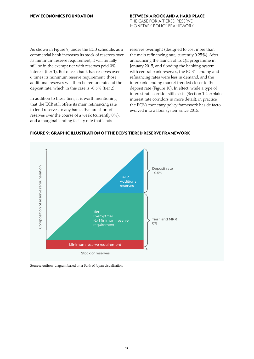As shown in Figure 9, under the ECB schedule, as a commercial bank increases its stock of reserves over its minimum reserve requirement, it will initially still be in the exempt tier with reserves paid 0% interest (tier 1). But once a bank has reserves over 6 times its minimum reserve requirement, those additional reserves will then be remunerated at the deposit rate, which in this case is -0.5% (tier 2).

In addition to these tiers, it is worth mentioning that the ECB still offers its main refinancing rate to lend reserves to any banks that are short of reserves over the course of a week (currently 0%); and a marginal lending facility rate that lends

reserves overnight (designed to cost more than the main refinancing rate, currently 0.25%). After announcing the launch of its QE programme in January 2015, and flooding the banking system with central bank reserves, the ECB's lending and refinancing rates were less in demand, and the interbank lending market trended closer to the deposit rate (Figure 10). In effect, while a type of interest rate corridor still exists (Section 1.2 explains interest rate corridors in more detail), in practice the ECB's monetary policy framework has de facto evolved into a floor system since 2015.



#### FIGURE 9: GRAPHIC ILLUSTRATION OF THE ECB'S TIERED RESERVE FRAMEWORK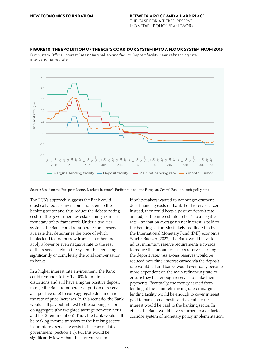THE CASE FOR A TIERED RESERVE MONETARY POLICY FRAMEWORK

#### <span id="page-19-0"></span>FIGURE 10: THE EVOLUTION OF THE ECB'S CORRIDOR SYSTEM INTO A FLOOR SYSTEM FROM 2015

Eurosystem Official Interest Rates: Marginal lending facility, Deposit facility, Main refinancing rate; interbank market rate



Source: Based on the European Money Markets Institute's Euribor rate and the European Central Bank's historic policy rates

The ECB's approach suggests the Bank could drastically reduce any income transfers to the banking sector and thus reduce the debt servicing costs of the government by establishing a similar monetary policy framework. Under a two-tier system, the Bank could remunerate some reserves at a rate that determines the price of which banks lend to and borrow from each other and apply a lower or even negative rate to the rest of the reserves held in the system thus reducing significantly or completely the total compensation to banks.

In a higher interest rate environment, the Bank could remunerate tier 1 at 0% to minimise distortions and still have a higher positive deposit rate (ie the Bank remunerates a portion of reserves at a positive rate) to curb aggregate demand and the rate of price increases. In this scenario, the Bank would still pay out interest to the banking sector on aggregate (the weighted average between tier 1 and tier 2 remuneration). Thus, the Bank would still be making income transfers to the banking sector incur interest servicing costs to the consolidated government (Section 1.3), but this would be significantly lower than the current system.

If policymakers wanted to net out government debt financing costs on Bank-held reserves at zero instead, they could keep a positive deposit rate and adjust the interest rate to tier 1 to a negative rate – so that on average no net interest is paid to the banking sector. Most likely, as alluded to by the International Monetary Fund (IMF) economist Sascha Buetzer (2022), the Bank would have to adjust minimum reserve requirements upwards to reduce the amount of excess reserves earning the deposit rate.<sup>58</sup> As excess reserves would be reduced over time, interest earned via the deposit rate would fall and banks would eventually become more dependent on the main refinancing rate to ensure they had enough reserves to make their payments. Eventually, the money earned from lending at the main refinancing rate or marginal lending facility would be enough to cover interest paid to banks on deposits and overall no net interest would be paid to the banking sector. In effect, the Bank would have returned to a de facto corridor system of monetary policy implementation.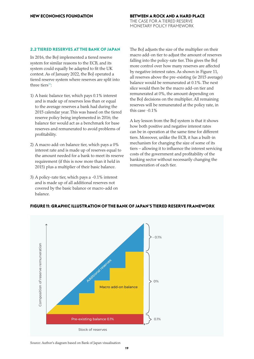#### <span id="page-20-0"></span>2.2 TIERED RESERVES AT THE BANK OF JAPAN

In 2016, the BoJ implemented a tiered reserve system for similar reasons to the ECB, and its system could equally be adapted to fit the UK context. As of January 2022, the BoJ operated a tiered reserve system where reserves are split into three tiers $59$ :

- 1) A basic balance tier, which pays 0.1% interest and is made up of reserves less than or equal to the average reserves a bank had during the 2015 calendar year. This was based on the tiered reserve policy being implemented in 2016; the balance tier would act as a benchmark for base reserves and remunerated to avoid problems of profitability.
- 2) A macro add-on balance tier, which pays a 0% interest rate and is made up of reserves equal to the amount needed for a bank to meet its reserve requirement (if this is now more than it held in 2015) plus a multiplier of their basic balance.
- 3) A policy-rate tier, which pays a -0.1% interest and is made up of all additional reserves not covered by the basic balance or macro-add on balance.

The BoJ adjusts the size of the multiplier on their macro add-on tier to adjust the amount of reserves falling into the policy-rate tier. This gives the BoJ more control over how many reserves are affected by negative interest rates. As shown in Figure 11, all reserves above the pre-existing (ie 2015 average) balance would be remunerated at 0.1%. The next slice would then be the macro add-on tier and remunerated at 0%, the amount depending on the BoJ decisions on the multiplier. All remaining reserves will be remunerated at the policy rate, in this case -0.1%

A key lesson from the BoJ system is that it shows how both positive and negative interest rates can be in operation at the same time for different tiers. Moreover, unlike the ECB, it has a built-in mechanism for changing the size of some of its tiers – allowing it to influence the interest servicing costs of the government and profitability of the banking sector without necessarily changing the remuneration of each tier.



#### FIGURE 11: GRAPHIC ILLUSTRATION OF THE BANK OF JAPAN'S TIERED RESERVE FRAMEWORK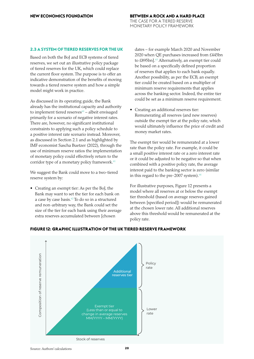#### <span id="page-21-0"></span>2.3 A SYSTEM OF TIERED RESERVES FOR THE UK

Based on both the BoJ and ECB systems of tiered reserves, we set out an illustrative policy package of tiered reserves for the UK, which could replace the current floor system. The purpose is to offer an indicative demonstration of the benefits of moving towards a tiered reserve system and how a simple model might work in practice.

As discussed in its operating guide, the Bank already has the institutional capacity and authority to implement tiered reserves $60 60 -$ albeit envisaged primarily for a scenario of negative interest rates. There are, however, no significant institutional constraints to applying such a policy schedule to a positive interest rate scenario instead. Moreover, as discussed in Section 2.1 and as highlighted by IMF economist Sascha Buetzer (2022), through the use of minimum reserve ratios the implementation of monetary policy could effectively return to the corridor type of a monetary policy framework.<sup>61</sup>

We suggest the Bank could move to a two-tiered reserve system by:

• Creating an exempt tier: As per the BoJ, the Bank may want to set the tier for each bank on a case by case basis.<sup>62</sup> To do so in a structured and non-arbitrary way, the Bank could set the size of the tier for each bank using their average extra reserves accumulated between [chosen

dates – for example March 2020 and November 2020 when QE purchases increased from £445bn to £895bn].<sup>63</sup> Alternatively, an exempt tier could be based on a specifically defined proportion of reserves that applies to each bank equally. Another possibility, as per the ECB, an exempt tier could be created based on a multiplier of minimum reserve requirements that applies across the banking sector. Indeed, the entire tier could be set as a minimum reserve requirement.

• Creating an additional reserves tier: Remunerating all reserves (and new reserves) outside the exempt tier at the policy rate, which would ultimately influence the price of credit and money market rates.

The exempt tier would be remunerated at a lower rate than the policy rate. For example, it could be a small positive interest rate or a zero interest rate or it could be adjusted to be negative so that when combined with a positive policy rate, the average interest paid to the banking sector is zero (similar in this regard to the pre-2007 system). $64$ 

For illustrative purposes, Figure 12 presents a model where all reserves at or below the exempt tier threshold (based on average reserves gained between [specified period]) would be remunerated at the chosen lower rate. All additional reserves above this threshold would be remunerated at the policy rate.



#### FIGURE 12: GRAPHIC ILLUSTRATION OF THE UK TIERED RESERVE FRAMEWORK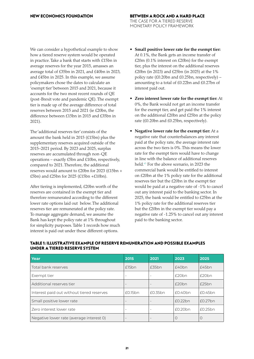<span id="page-22-0"></span>We can consider a hypothetical example to show how a tiered reserve system would be operated in practice. Take a bank that starts with £15bn in average reserves for the year 2015, amasses an average total of £35bn in 2021, and £40bn in 2023, and £45bn in 2025. In this example, we assume policymakers chose the dates to calculate an 'exempt tier' between 2015 and 2021, because it accounts for the two most recent rounds of QE (post-Brexit vote and pandemic QE). The exempt tier is made up of the average difference of total reserves between 2015 and 2021 (ie £20bn, the difference between £15bn in 2015 and £35bn in 2021).

The 'additional reserves tier' consists of the amount the bank held in 2015 (£15bn) plus the supplementary reserves acquired outside of the 2015–2021 period. By 2023 and 2025, surplus reserves are accumulated through non-QE operations – exactly £5bn and £10bn, respectively, compared to 2021. Therefore, the additional reserves would amount to £20bn for 2023 (£15bn + £5bn) and £25bn for 2025 (£15bn +£10bn).

After tiering is implemented, £20bn worth of the reserves are contained in the exempt tier and therefore remunerated according to the different lower rate options laid out below. The additional reserves tier are remunerated at the policy rate. To manage aggregate demand, we assume the Bank has kept the policy rate at 1% throughout for simplicity purposes. Table 1 records how much interest is paid out under these different options.

- **Small positive lower rate for the exempt tier:**  At 0.1%, the Bank gets an income transfer of  $£20m (0.1% interest on £20bn)$  for the exempt tier, plus the interest on the additional reserves £20bn (in 2023) and £25bn (in 2025) at the 1% policy rate (£0.20bn and £0.25bn, respectively) – amounting to a total of £0.22bn and £0.27bn of interest paid out.
- **Zero interest lower rate for the exempt tier:** At 0%, the Bank would not get an income transfer for the exempt tier, and get paid the 1% interest on the additional £20bn and £25bn at the policy rate (£0.20bn and £0.25bn, respectively).
- **Negative lower rate for the exempt tier:** At a negative rate that counterbalances any interest paid at the policy rate, the average interest rate across the two tiers is 0%. This means the lower rate for the exempt tiers would have to change in line with the balance of additional reserves held[.65](#page-31-0) For the above scenario, in 2023 the commercial bank would be entitled to interest on £20bn at the 1% policy rate for the additional reserves tier but the £20bn in the exempt tier would be paid at a negative rate of -1% to cancel out any interest paid to the banking sector. In 2025, the bank would be entitled to £25bn at the 1% policy rate for the additional reserves tier but the £20bn in the exempt tier would pay a negative rate of -1.25% to cancel out any interest paid to the banking sector.

| Year                                      | 2015                     | 2021                     | 2023                | 2025       |
|-------------------------------------------|--------------------------|--------------------------|---------------------|------------|
| Total bank reserves                       | £15bn                    | £35bn                    | £40bn               | £45bn      |
| Exempt tier                               |                          |                          | f20bn               | f20bn      |
| Additional reserves tier                  | $\overline{\phantom{0}}$ | $\overline{\phantom{0}}$ | f20bn               | f25bn      |
| Interest paid out without tiered reserves | f0.15bn                  | £0.35 <sub>bn</sub>      | £0.40 <sub>bn</sub> | f0.45bn    |
| Small positive lower rate                 | $\overline{\phantom{0}}$ | $\overline{\phantom{a}}$ | f0.22bn             | $f0.27$ bn |
| Zero interest lower rate                  | $\overline{\phantom{0}}$ |                          | f0.20bn             | f0.25bn    |
| Negative lower rate (average interest 0)  |                          |                          |                     | O          |

#### TABLE 1: ILLUSTRATIVE EXAMPLE OF RESERVE REMUNERATION AND POSSIBLE EXAMPLES UNDER A TIERED RESERVE SYSTEM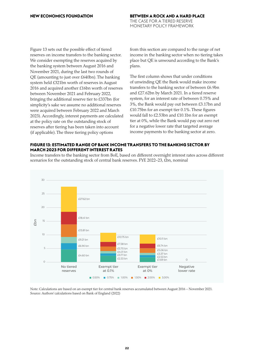Figure 13 sets out the possible effect of tiered reserves on income transfers to the banking sector. We consider exempting the reserves acquired by the banking system between August 2016 and November 2021, during the last two rounds of QE (amounting to just over £640bn). The banking system held £321bn worth of reserves in August 2016 and acquired another £16bn worth of reserves between November 2021 and February 2022, bringing the additional reserve tier to £337bn (for simplicity's sake we assume no additional reserves were acquired between February 2022 and March 2023). Accordingly, interest payments are calculated at the policy rate on the outstanding stock of reserves after tiering has been taken into account (if applicable). The three tiering policy options

from this section are compared to the range of net income in the banking sector when no tiering takes place but QE is unwound according to the Bank's plans.

The first column shows that under conditions of unwinding QE the Bank would make income transfers to the banking sector of between £6.9bn and £27.62bn by March 2021. In a tiered reserve system, for an interest rate of between 0.75% and 3%, the Bank would pay out between £3.17bn and £10.75bn for an exempt tier 0.1%. These figures would fall to £2.53bn and £10.1bn for an exempt tier at 0%, while the Bank would pay out zero net for a negative lower rate that targeted average income payments to the banking sector at zero.

#### FIGURE 13: ESTIMATED RANGE OF BANK INCOME TRANSFERS TO THE BANKING SECTOR BY MARCH 2023 FOR DIFFERENT INTEREST RATES

Income transfers to the banking sector from BoE, based on different overnight interest rates across different scenarios for the outstanding stock of central bank reserves. FYE 2022–23, £bn, nominal



Note: Calculations are based on an exempt tier for central bank reserves accumulated between August 2016 – November 2021. Source: Authors' calculations based on Bank of England (2022)

22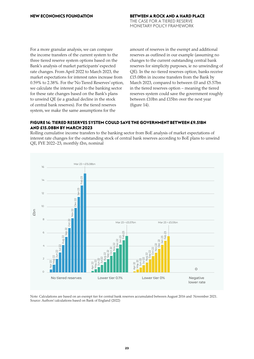For a more granular analysis, we can compare the income transfers of the current system to the three tiered reserve system options based on the Bank's analysis of market participants' expected rate changes. From April 2022 to March 2023, the market expectations for interest rates increase from 0.59% to 2.38%. For the 'No Tiered Reserves' option, we calculate the interest paid to the banking sector for these rate changes based on the Bank's plans to unwind QE (ie a gradual decline in the stock of central bank reserves). For the tiered reserves system, we make the same assumptions for the

amount of reserves in the exempt and additional reserves as outlined in our example (assuming no changes to the current outstanding central bank reserves for simplicity purposes, ie no unwinding of QE). In the no-tiered reserves option, banks receive £15.08bn in income transfers from the Bank by March 2023, compared to between £0 and £5.57bn in the tiered reserves option – meaning the tiered reserves system could save the government roughly between £10bn and £15bn over the next year (figure 14).

#### FIGURE 14: TIERED RESERVES SYSTEM COULD SAVE THE GOVERNMENT BETWEEN £9.51BN AND £15.08BN BY MARCH 2023

Rolling cumulative income transfers to the banking sector from BoE analysis of market expectations of interest rate changes for the outstanding stock of central bank reserves according to BoE plans to unwind QE, FYE 2022–23, monthly £bn, nominal



Note: Calculations are based on an exempt tier for central bank reserves accumulated between August 2016 and November 2021.<br>Source: Authors' calculations based on Bank of England (2022)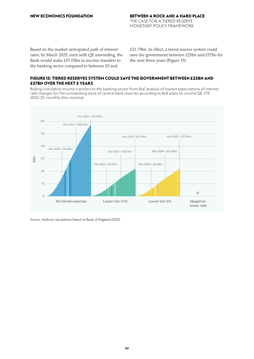THE CASE FOR A TIERED RESERVE MONETARY POLICY FRAMEWORK

Based on the market-anticipated path of interest rates, by March 2025, even with QE unwinding, the Bank would make £57.03bn in income transfers to the banking sector compared to between £0 and

£21.79bn. In effect, a tiered reserve system could save the government between £25bn and £57bn for the next three years (Figure 15).

#### FIGURE 15: TIERED RESERVES SYSTEM COULD SAVE THE GOVERNMENT BETWEEN £25BN AND £57BN OVER THE NEXT 3 YEARS

Rolling cumulative income transfers to the banking sector from BoE analysis of market expectations of interest rate changes for the outstanding stock of central bank reserves according to BoE plans to unwind QE, FYE 2022–25, monthly £bn, nominal.



Source: Authors' calculations based on Bank of England (2022)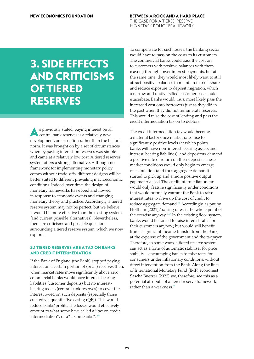## <span id="page-26-0"></span>3. SIDE EFFECTS AND CRITICISMS OF TIERED RESERVES

s previously stated, paying interest on all central bank reserves is a relatively new development, an exception rather than the historic norm. It was brought on by a set of circumstances whereby paying interest on reserves was simple and came at a relatively low cost. A tiered reserves system offers a strong alternative. Although no framework for implementing monetary policy comes without trade-offs, different designs will be better suited to different prevailing macroeconomic conditions. Indeed, over time, the design of monetary frameworks has ebbed and flowed in response to economic events and changing monetary theory and practice. Accordingly, a tiered reserve system may not be perfect, but we believe it would be more effective than the existing system (and current possible alternatives). Nevertheless, there are criticisms and possible questions surrounding a tiered reserve system, which we now explore.

#### 3.1 TIERED RESERVES ARE A TAX ON BANKS AND CREDIT INTERMEDIATION

If the Bank of England (the Bank) stopped paying interest on a certain portion of (or all) reserves then, when market rates move significantly above zero, commercial banks would have interest-bearing liabilities (customer deposits) but no interestbearing assets (central bank reserves) to cover the interest owed on such deposits (especially those created via quantitative easing (QE)). This would reduce banks' profits. The losses would effectively amount to what some have called a "'tax on credit intermediation", or a "tax on banks". <sup>66</sup>

To compensate for such losses, the banking sector would have to pass on the costs to its customers. The commercial banks could pass the cost on to customers with positive balances with them (savers) through lower interest payments, but at the same time, they would most likely want to still attract positive balances to maintain market share and reduce exposure to deposit migration, which a narrow and undiversified customer base could exacerbate. Banks would, thus, most likely pass the increased cost onto borrowers just as they did in the past when they did not remunerate reserves. This would raise the cost of lending and pass the credit intermediation tax on to debtors.

The credit intermediation tax would become a material factor once market rates rise to significantly positive levels (at which points banks will have non-interest-bearing assets and interest-bearing liabilities), and depositors demand a positive rate of return on their deposits. These market conditions would only begin to emerge once inflation (and thus aggregate demand) started to pick up and a more positive output gap materialised. The credit intermediation tax would only feature significantly under conditions that would normally warrant the Bank to raise interest rates to drive up the cost of credit to reduce aggregate demand.<sup>67</sup> Accordingly, as put by Holtham (2021), "raising rates is the whole point of the exercise anyway.["68](#page-31-0) In the existing floor system, banks would be forced to raise interest rates for their customers anyhow, but would still benefit from a significant income transfer from the Bank, at the expense of the government and the taxpayer. Therefore, in some ways, a tiered reserve system can act as a form of automatic stabiliser for price stability – encouraging banks to raise rates for consumers under inflationary conditions, without direct intervention from the Bank. Along the lines of International Monetary Fund (IMF) economist Sascha Buetzer (2022) we, therefore, see this as a potential attribute of a tiered reserve framework, rather than a weakness. $69$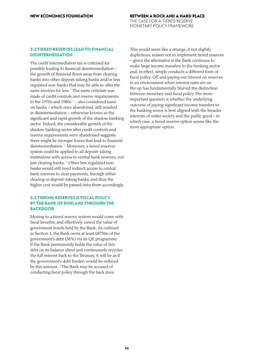THE CASE FOR A TIERED RESERVE MONETARY POLICY FRAMEWORK

#### <span id="page-27-0"></span>3.2 TIERED RESERVES LEAD TO FINANCIAL DISINTERMEDIATION

The credit intermediation tax is criticised for possibly leading to financial disintermediation – the growth of financial flows away from clearing banks into other deposit-taking banks and/or less regulated non-banks that may be able to offer the same services for less.<sup>70</sup> The same criticism was made of credit controls and reserve requirements in the 1970s and  $1980s^{71}$  – also considered taxes on banks – which once abandoned, still resulted in disintermediation – otherwise known as the significant and rapid growth of the shadow banking sector. Indeed, the considerable growth of the shadow banking sector after credit controls and reserve requirements were abandoned suggests there might be stronger forces that lead to financial disintermediation.[72](#page-31-0) Moreover, a tiered reserves system could be applied to all deposit-taking institutions with access to central bank reserves, not just clearing banks.<sup>73</sup> Other less regulated nonbanks would still need indirect access to central bank reserves to clear payments, through either clearing or deposit-taking banks, and thus the higher cost would be passed onto them accordingly.

#### 3.3 TIERING RESERVES IS FISCAL POLICY BY THE BANK OF ENGLAND THROUGH THE **BACKDOOR**

Moving to a tiered reserve system would come with fiscal benefits, and effectively cancel the value of government bonds held by the Bank. As outlined in Section 1, the Bank owns at least £875bn of the government's debt (38%) via its QE programme. If the Bank permanently holds the value of this debt on its balance sheet and continuously recycles the full interest back to the Treasury, it will be as if the government's debt burden would be reduced by this amount.<sup>74</sup> The Bank may be accused of conducting fiscal policy through the back door.

This would seem like a strange, if not slightly duplicitous, reason not to implement tiered reserves – given the alternative is the Bank continues to make large income transfers to the banking sector and, in effect, simply conducts a different form of fiscal policy. QE and paying out interest on reserves in an environment when interest rates are on the up has fundamentally blurred the distinction between monetary and fiscal policy. The more important question is whether the underlying outcome of paying significant income transfers to the banking sector is best aligned with the broader interests of wider society and the public good – in which case, a tiered reserve option seems like the most appropriate option.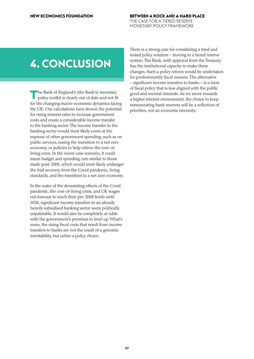### <span id="page-28-0"></span>4. CONCLUSION

The Bank of England's (the Bank's) monetary policy toolkit is clearly out of date and not fit for the changing macro-economic dynamics facing the UK. Our calculations have shown the potential for rising interest rates to increase government costs and create a considerable income transfer to the banking sector. The income transfer to the banking sector would most likely come at the expense of other government spending, such as on public services, easing the transition to a net zero economy, or policies to help relieve the cost-ofliving crisis. In the worst-case scenario, it could mean budget and spending cuts similar to those made post-2008, which would most likely endanger the frail recovery from the Covid pandemic, living standards, and the transition to a net zero economy.

In the wake of the devastating effects of the Covid pandemic, the cost-of-living crisis, and UK wages not forecast to reach their pre-2008 levels until 2028, significant income transfers to an already heavily subsidised banking sector seem politically unpalatable. It would also be completely at odds with the government's promises to level up. What's more, the rising fiscal costs that result from income transfers to banks are not the result of a genomic inevitability, but rather a policy choice.

There is a strong case for considering a tried and tested policy solution – moving to a tiered reserve system. The Bank, with approval from the Treasury, has the institutional capacity to make these changes. Such a policy reform would be undertaken for predominantly fiscal reasons. The alternative – significant income transfers to banks – is a form of fiscal policy that is less aligned with the public good and societal interests. As we move towards a higher interest environment, the choice to keep remunerating bank reserves will be a reflection of priorities, not an economic necessity.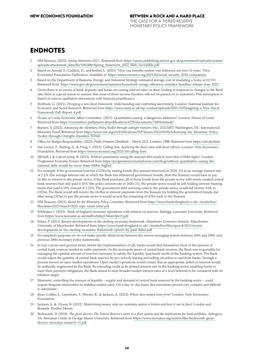THE CASE FOR A TIERED RESERVE MONETARY POLICY FRAMEWORK

### <span id="page-29-0"></span>ENDNOTES

- [1](#page-3-0) HM Treasury. (2022). *Spring Statement 2022*. Retrieved from [https://assets.publishing.service.gov.uk/government/uploads/system/](https://assets.publishing.service.gov.uk/government/uploads/system/uploads/attachment_data/file/1062486/Spring_Statement_2022_Web_Accessible.pdf) [uploads/attachment\\_data/file/1062486/Spring\\_Statement\\_2022\\_Web\\_Accessible.pdf](https://assets.publishing.service.gov.uk/government/uploads/system/uploads/attachment_data/file/1062486/Spring_Statement_2022_Web_Accessible.pdf)
- [2](#page-3-0) Based on Arnold, S., Caddick, D., and Krebel, L. (2021). "How our benefits system was hollowed out over 10 years." New Economics Foundation Publication. Available at:<https://neweconomics.org/2021/02/social-security-2010-comparison>
- [3](#page-3-0) Based on the Department of Business, Energy, and Industrial Strategy estimated average cost of insulating a home at £2,911. Retrieved from:<https://www.gov.uk/government/statistics/household-energy-efficiency-statistics-headline-release-may-2022>
- [4](#page-4-0) Given there is an excess of bank deposits and banks are raising interest rates on their lending in response to changes in the Bank rate, there is a good reason to assume that most of these income transfers will not be passed on to customers. This assumption is based on various qualitative discussions with financial practitioners.
- [5](#page-4-0) Holtham, G. (2021). *Designing a new fiscal framework: Understanding and confronting uncertainity*. London: National Institute for Economic and Social Research. Retrieved from [https://www.niesr.ac.uk/wp-content/uploads/2021/10/Designing-a-New-Fiscal-](https://www.niesr.ac.uk/wp-content/uploads/2021/10/Designing-a-New-Fiscal-Framework-Full-Report-4.pdf)[Framework-Full-Report-4.pdf](https://www.niesr.ac.uk/wp-content/uploads/2021/10/Designing-a-New-Fiscal-Framework-Full-Report-4.pdf)
- [6](#page-4-0) House of Lords, Economic Affair Committee. (2021). Quantitative easing: a dangerous addiction? London: House of Lords. Retrieved from<https://committees.parliament.uk/publications/6725/documents/71894/default/>
- [7](#page-5-0) Buetzer, S. (2022). *Advancing the Monetary Policy Toolkit through outright transfers* (No. 2022/087). Washington, DC: International Monetary Fund. Retrieved from [https://www.imf.org/en/Publications/WP/Issues/2022/05/06/Advancing-the-Monetary-Policy-](https://www.imf.org/en/Publications/WP/Issues/2022/05/06/Advancing-the-Monetary-Policy-Toolkit-through-Outright-Transfers-517641)[Toolkit-through-Outright-Transfers-517641](https://www.imf.org/en/Publications/WP/Issues/2022/05/06/Advancing-the-Monetary-Policy-Toolkit-through-Outright-Transfers-517641)
- [8](#page-6-0) Office for Budget Responsibility. (2022). *Public Finances DataBank March 2022*. London: OBR. Retrieved from<https://obr.uk/data/>
- [9](#page-6-0) Van Lerven, F., Stirling, A., & Prieg, L. (2021). *Calling time: Replacing the fiscal rules with fiscal referees*. London: New Economics Foundation. Retrieved from<https://neweconomics.org/2021/10/calling-time>
- [10](#page-7-0) Michell, J. & Calvert Jump, R. (2021). *Without quantitative easing the national debt would be more than £100bn higher*. London: Progressive Economy Forum. Retrieved from [https://progressiveeconomyforum.com/blog/without-quantitative-easing-the](https://progressiveeconomyforum.com/blog/without-quantitative-easing-the-national-debt-would-be-more-than-100bn-higher/)[national-debt-would-be-more-than-100bn-higher/](https://progressiveeconomyforum.com/blog/without-quantitative-easing-the-national-debt-would-be-more-than-100bn-higher/)
- [11](#page-7-0) For example, if the government borrows £323bn by issuing bonds (the amount borrowed in 2020–21) at an average interest rate of 2.1% (the average interest rate at which the Bank has refinanced government bonds), then the Treasury would have to pay £6.8bn in interest to the private sector. If the Bank purchases all of those bonds from the private sector with newly created central bank reserves that only paid 0.10% (the policy interest rate in 2020–21), the private sector would be left holding interest-bearing assets that paid 0.10% instead of 2.10%. The government debt servicing costs to the private sector would fall twenty-fold, to £323m. The Bank would still receive the £6.8bn in interest payments from the Treasury for holding the government bonds, but after using £323m to pay the private sector it would recycle the remaining £6.47bn back to the Treasury.
- [12](#page-8-0) HM Treasury. (2021). *Remit for the Monetary Policy Committee*. Retrieved from [https://www.bankofengland.co.uk/-/media/boe/](https://www.bankofengland.co.uk/-/media/boe/files/letter/2021/march/2021-mpc-remit-letter.pdf) [files/letter/2021/march/2021-mpc-remit-letter.pdf](https://www.bankofengland.co.uk/-/media/boe/files/letter/2021/march/2021-mpc-remit-letter.pdf)
- [13](#page-8-0) Whittaker, J. (2013). Bank of England monetary operations with interest on reserves. Bailrigg: Lancaster University. Retrieved from<https://www.lancaster.ac.uk/staff/whittaj1/MonOps15.pdf>
- [14](#page-8-0) Fisher, P. (2011). Recent developments in the sterling monetary framework. *Manchester Economics Seminar*. Manchester: University of Manchester. Retrieved from [https://www.bankofengland.co.uk/-/media/boe/files/speech/2011/recent](https://www.bankofengland.co.uk/-/media/boe/files/speech/2011/recent-developments-in-the-sterling-monetary-framework-speech-by-paul-fisher.pdf)[developments-in-the-sterling-monetary-framework-speech-by-paul-fisher.pdf](https://www.bankofengland.co.uk/-/media/boe/files/speech/2011/recent-developments-in-the-sterling-monetary-framework-speech-by-paul-fisher.pdf)
- [15](#page-8-0) For simplicity purposes we do not make specific distinctions between the reserve averaging system between 2006 and 2009, and previous 2006 monetary policy frameworks.
- [16](#page-9-0) In very concise and general terms, before the implementation of QE, banks would find themselves short of the amount of central bank reserves needed to settle payments. As the monopoly issuer of central bank reserves, the Bank was responsible for managing the optimal amount of reserves necessary to satisfy the liquidity (payment) needs of the banking system. The Bank would adjust the quantity of central bank reserves by pro-actively buying and selling securities to and from banks through a process known as open market operations. Open market operations would ensure that an appropriate deficit in reserves would be artificially engineered by the Bank. By extending credit at its desired interest rate to the banking sector, enabling banks to meet their payment obligations, the Bank aimed to steer broader market interest rates at a level believed to be consistent with its inflation target.
- [17](#page-9-0) Moreover, controlling the amount of liquidity supply and demand of central bank reserves by the banking sector could require frequent intervention to stabilize market rates. On a day-to-day basis, this sometimes proved very complex and difficult to administer.
- [18](#page-9-0) Ryan-Collins, J., Greenham, T., Werner, R., & Jackson, A. (2012). *Where does money come from?* London: New Economics Foundation.
- [19](#page-9-0) Jackson, A. & Dyson, B. (2012). *Modernising money: why our monetary system is broken and how it can be fixed*. London and Brussels: Positive Money.
- [20](#page-9-0) Beckworth, D. (2018). *The great divorce: The Federal Reserve's move to a floor system and the implications for bank portfolios*. Arlington, VA: Mercatus Center at George Mason University. Retrieved from [https://www.mercatus.org/system/files/beckworth-great](https://www.mercatus.org/system/files/beckworth-great-divorce-mercatus-research-v1.pdf)[divorce-mercatus-research-v1.pdf](https://www.mercatus.org/system/files/beckworth-great-divorce-mercatus-research-v1.pdf)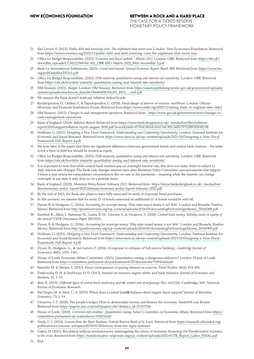#### <span id="page-30-0"></span>NEW ECONOMICS FOUNDATION

#### BETWEEN A ROCK AND A HARD PLACE

THE CASE FOR A TIERED RESERVE MONETARY POLICY FRAMEWORK

- [21](#page-9-0) Van Lerven, F. (2021). *Public debt and servicing costs: The nightmare that never was*. London: New Economics Foundation. Retrieved from<https://neweconomics.org/2021/11/public-debt-and-debt-servicing-costs-the-nightmare-that-never-was>
- [22](#page-9-0) Office for Budget Responsibility. (2022). *Economic and fiscal outlook March 2022*. London: OBR. Retrieved from [https://obr.uk//](https://obr.uk//docs/dlm_uploads/CCS0222366764-001_OBR-EFO-March-2022_Web-Accessible-2.pdf) [docs/dlm\\_uploads/CCS0222366764-001\\_OBR-EFO-March-2022\\_Web-Accessible-2.pdf](https://obr.uk//docs/dlm_uploads/CCS0222366764-001_OBR-EFO-March-2022_Web-Accessible-2.pdf)
- [23](#page-9-0) Bank for International Settlements. (2021). *Covid and beyond. Annual Economic Report*. Basel: BIS. Retrieved from [https://www.bis.](https://www.bis.org/publ/arpdf/ar2021e1.pdf) [org/publ/arpdf/ar2021e1.pdf](https://www.bis.org/publ/arpdf/ar2021e1.pdf)
- [24](#page-9-0) Office for Budget Responsibility. (2021). *Debt maturity, quantitative easing and interest rate sensitivity*. London: OBR. Retrieved from<https://obr.uk/box/debt-maturity-quantitative-easing-and-interest-rate-sensitivity/>
- [25](#page-9-0) HM Treasury. (2021). *Budget*. London: HM Treasury. Retrieved from [https://assets.publishing.service.gov.uk/government/uploads/](https://assets.publishing.service.gov.uk/government/uploads/system/uploads/attachment_data/file/966868/BUDGET_2021_-_web.pdf) [system/uploads/attachment\\_data/file/966868/BUDGET\\_2021\\_-\\_web.pdf](https://assets.publishing.service.gov.uk/government/uploads/system/uploads/attachment_data/file/966868/BUDGET_2021_-_web.pdf)
- [26](#page-9-0) We assume the Bank doesn't hold any inflation-linked bonds.
- [27](#page-9-0) Kyriakopoulou, D., Ortlieb, P., & Papadopoullos, C. (2020). *Fiscal danger of interest on reserves overblown*. London: Official Monetary and Financial Institutions Forum. Retrieved from<https://www.omfif.org/2020/12/raising-bank-of-england-rates-risks/>
- [28](#page-10-0) HM Treasury. (2012). *Changes to cash management operations*. Retrieved from [https://www.gov.uk/government/news/changes-to](https://www.gov.uk/government/news/changes-to-cash-management-operations)[cash-management-operations](https://www.gov.uk/government/news/changes-to-cash-management-operations)
- [29](#page-11-0) Bank of England. (2018). *Inflation Report*. Retrieved from [https://www.bankofengland.co.uk/-/media/boe/files/inflation](https://www.bankofengland.co.uk/-/media/boe/files/inflation-report/2018/august/inflation-report-august-2018.pdf?la=en&hash=07356C865A7416716C85C54FD7F752BF9DF0E19B)[report/2018/august/inflation-report-august-2018.pdf?la=en&hash=07356C865A7416716C85C54FD7F752BF9DF0E19B](https://www.bankofengland.co.uk/-/media/boe/files/inflation-report/2018/august/inflation-report-august-2018.pdf?la=en&hash=07356C865A7416716C85C54FD7F752BF9DF0E19B)
- [30](#page-11-0) Holtham, G. (2021). *Designing a New Fiscal Framework: Understanding and Confronting Uncertainity*. London: National Institute for Economic and Social Research. Retrieved from [https://www.niesr.ac.uk/wp-content/uploads/2021/10/Designing-a-New-Fiscal-](https://www.niesr.ac.uk/wp-content/uploads/2021/10/Designing-a-New-Fiscal-Framework-Full-Report-4.pdf)[Framework-Full-Report-4.pdf](https://www.niesr.ac.uk/wp-content/uploads/2021/10/Designing-a-New-Fiscal-Framework-Full-Report-4.pdf)
- [31](#page-11-0) We note later in the paper that there are significant differences between government bonds and central bank reserves the latter is not a form of debt but should be treated as equity.
- [32](#page-11-0) Office for Budget Responsibility. (2021). *Debt maturity, quantitative easing and interest rate sensitivity*. London: OBR. Retrieved from<https://obr.uk/box/debt-maturity-quantitative-easing-and-interest-rate-sensitivity/>
- [33](#page-11-0) It is important to note that while central bank reserves pay an overnight interest rate, this does not make them to subject to daily interest rate changes. The Bank only changes interest rates after Monetary Policy Committee announcements that happen 8 times a year unless for extraordinary circumstances like we saw in the pandemic – meaning while the interest can change overnight at any time it only does so on a periodic basis.
- [34](#page-11-0) Bank of England. (2022). *Monetary Policy Report: February 2022*. Retrieved from [https://www.bankofengland.co.uk/-/media/boe/](https://www.bankofengland.co.uk/-/media/boe/files/monetary-policy-report/2022/february/monetary-policy-report-february-2022.pdf) [files/monetary-policy-report/2022/february/monetary-policy-report-february-2022.pdf](https://www.bankofengland.co.uk/-/media/boe/files/monetary-policy-report/2022/february/monetary-policy-report-february-2022.pdf)
- [35](#page-12-0) By the end of 2023, the Bank also plans to have fully unwound its stock of corporate bond purchases.
- [36](#page-12-0) In this scenario, we assume that for every £5 of bonds unwound an additional £1 of bonds would be sold off.
- [37](#page-14-0) Dyson, B. & Hodgson, G. (2016). *Accounting for soverign money: Why state-issued money is not 'debt'*. London and Brussels: Positive Money. Retrieved from [http://positivemoney.org/wp-content/uploads/2016/03/AccountingForSovereignMoney\\_20160309.pdf](http://positivemoney.org/wp-content/uploads/2016/03/AccountingForSovereignMoney_20160309.pdf)
- [38](#page-14-0) Kumhof, K., Allen, J., Bateman, W., Lastra, R. M., Gleeson S., & Omarova, S. (2020). *Central bank money: liability, asset, or equity of the nation?* CEPR Discussion Paper DP15521.
- [39](#page-14-0) Dyson, B. & Hodgson, G. (2016). *Accounting for sovereign money: Why state-issued money is not 'debt'*. London and Brussels: Positive Money. Retrieved from [http://positivemoney.org/wp-content/uploads/2016/03/AccountingForSovereignMoney\\_20160309.pdf](http://positivemoney.org/wp-content/uploads/2016/03/AccountingForSovereignMoney_20160309.pdf)
- [40](#page-14-0) Holtham, G. (2021). *Designing a New Fiscal Framework: Understanding and Confronting Uncertainity*. London: National Institute for Economic and Social Research. Retrieved from [https://www.niesr.ac.uk/wp-content/uploads/2021/10/Designing-a-New-Fiscal-](https://www.niesr.ac.uk/wp-content/uploads/2021/10/Designing-a-New-Fiscal-Framework-Full-Report-4.pdf)[Framework-Full-Report-4.pdf](https://www.niesr.ac.uk/wp-content/uploads/2021/10/Designing-a-New-Fiscal-Framework-Full-Report-4.pdf)
- [41](#page-14-0) Dyson, B., Hodgson, G., & van Lerven, F. (2016). A response to critiques of 'full reserve banking'. *Cambridge Journal of Economics*, 40(5), 1351–1361.
- [42](#page-15-0) House of Lords, Economic Affairs Committee. (2021). Quantitative easing: a dangerous addiction? London: House of Lords. Retrieved from<https://committees.parliament.uk/publications/6725/documents/71894/default/>
- [43](#page-15-0) Bassetto, M. & Messer, T. (2013). Fiscal consequences of paying interest on reserves. *Fiscal Studies*, 34(4), 413–436.
- [44](#page-15-0) Dutkowsky, D. H. & VanHoose, D. D. (2017). Interest on reserves, regime shifts, and bank behavior. *Journal of Economics and Business, 91*, 1–15.
- [45](#page-15-0) Reis, R. (2015). *Different types of central bank insolvency and the central role of seignorage* (No. w21226). Cambridge, MA: National Bureau of Economic Research.
- [46](#page-15-0) Del Negro, M. & Sims, C. A. (2015). When does a central bank׳s balance sheet require fiscal support? *Journal of Monetary Economics*, 73, 1–19.
- [47](#page-15-0) Omarova, S. T. (2020). The people's ledger: How to democratize money and finance the economy. *Vanderbilt Law Review*. Retrieved from [https://papers.ssrn.com/sol3/papers.cfm?abstract\\_id=3715735#](https://papers.ssrn.com/sol3/papers.cfm?abstract_id=3715735#)
- [48](#page-15-0) House of Lords. (2020). *Corrected oral evidence: Quantitative easing*. Select Committee on Economic Affairs. Retrieved from [https://](https://committees.parliament.uk/oralevidence/1920/html/) [committees.parliament.uk/oralevidence/1920/html/](https://committees.parliament.uk/oralevidence/1920/html/)
- [49](#page-16-0) Neely, C. J. (2014). *Lessons from the Taper Tantrum. Federal Reserve Bank of St. Louis*. Retrieved from [https://research.stlouisfed.org/](https://research.stlouisfed.org/publications/economic-synopses/2014/01/28/lessons-from-the-taper-tantrum/) [publications/economic-synopses/2014/01/28/lessons-from-the-taper-tantrum/](https://research.stlouisfed.org/publications/economic-synopses/2014/01/28/lessons-from-the-taper-tantrum/)
- [50](#page-16-0) Gabor, D. (2021). Revolution without revolutionaries: interrogating the return of monetary financing. *For Transformative responses to the crisis*. Retrieved from [https://transformative-responses.org/wp-content/uploads/2021/01/TR\\_Report\\_Gabor\\_FINAL.pdf](https://transformative-responses.org/wp-content/uploads/2021/01/TR_Report_Gabor_FINAL.pdf)
- [51](#page-16-0) Ibid.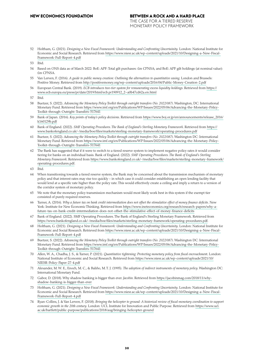#### <span id="page-31-0"></span>NEW ECONOMICS FOUNDATION

#### BETWEEN A ROCK AND A HARD PLACE

THE CASE FOR A TIERED RESERVE MONETARY POLICY FRAMEWORK

[52](#page-16-0) Holtham, G. (2021). *Designing a New Fiscal Framework: Understanding and Confronting Uncertainity.* London: National Institute for Economic and Social Research. Retrieved from [https://www.niesr.ac.uk/wp-content/uploads/2021/10/Designing-a-New-Fiscal-](https://www.niesr.ac.uk/wp-content/uploads/2021/10/Designing-a-New-Fiscal-Framework-Full-Report-4.pdf)[Framework-Full-Report-4.pdf](https://www.niesr.ac.uk/wp-content/uploads/2021/10/Designing-a-New-Fiscal-Framework-Full-Report-4.pdf)

- [54](#page-16-0) Based on ONS data as of March 2022: BoE: APF: Total gilt purchases: £m CPNSA; and BoE: APF gilt holdings (at nominal value): £m CPNSA.
- [55](#page-16-0) Van Lerven, F. (2016). *A guide to public money creation: Outlining the alternatives to quantitative easing*. London and Brussels: Positive Money. Retrieved from<http://positivemoney.org/wp-content/uploads/2016/04/Public-Money-Creation-2.pdf>
- [56](#page-17-0) European Central Bank. (2019). *ECB introduces two-tier system for remunerating excess liquidity holdings*. Retrieved from [https://](https://www.ecb.europa.eu/press/pr/date/2019/html/ecb.pr190912_2~a0b47cd62a.en.html) [www.ecb.europa.eu/press/pr/date/2019/html/ecb.pr190912\\_2~a0b47cd62a.en.html](https://www.ecb.europa.eu/press/pr/date/2019/html/ecb.pr190912_2~a0b47cd62a.en.html)
- [57](#page-17-0) Ibid.
- [58](#page-19-0) Buetzer, S. (2022). *Advancing the Monetary Policy Toolkit through outright transfers (No. 2022/087)*. Washington, DC: International Monetary Fund. Retrieved from [https://www.imf.org/en/Publications/WP/Issues/2022/05/06/Advancing-the-Monetary-Policy-](https://www.imf.org/en/Publications/WP/Issues/2022/05/06/Advancing-the-Monetary-Policy-Toolkit-through-Outright-Transfers-517641)[Toolkit-through-Outright-Transfers-517641](https://www.imf.org/en/Publications/WP/Issues/2022/05/06/Advancing-the-Monetary-Policy-Toolkit-through-Outright-Transfers-517641)
- [59](#page-20-0) Bank of Japan. (2016). *Key points of today's policy decisions*. Retrieved from [https://www.boj.or.jp/en/announcements/release\\_2016/](https://www.boj.or.jp/en/announcements/release_2016/k160129b.pdf) [k160129b.pdf](https://www.boj.or.jp/en/announcements/release_2016/k160129b.pdf)
- [60](#page-21-0) Bank of England. (2022). *SMF Operating Procedures. The Bank of England's Sterling Monetary Framework*. Retrieved from [https://](https://www.bankofengland.co.uk/-/media/boe/files/markets/sterling-monetary-framework/operating-procedures.pdf) [www.bankofengland.co.uk/-/media/boe/files/markets/sterling-monetary-framework/operating-procedures.pdf](https://www.bankofengland.co.uk/-/media/boe/files/markets/sterling-monetary-framework/operating-procedures.pdf)
- [61](#page-21-0) Buetzer, S. (2022). A*dvancing the Monetary Policy Toolkit through outright transfers (No. 2022/087)*. Washington DC: International Monetary Fund. Retrieved from [https://www.imf.org/en/Publications/WP/Issues/2022/05/06/Advancing-the-Monetary-Policy-](https://www.imf.org/en/Publications/WP/Issues/2022/05/06/Advancing-the-Monetary-Policy-Toolkit-through-Outright-Transfers-517641)[Toolkit-through-Outright-Transfers-517641](https://www.imf.org/en/Publications/WP/Issues/2022/05/06/Advancing-the-Monetary-Policy-Toolkit-through-Outright-Transfers-517641)
- The Bank has suggested that if it were to switch to a tiered reserve system to implement negative policy rates it would consider tiering for banks on an individual basis. Bank of England. (2022). *SMF Operating Procedures. The Bank of England's Sterling Monetary Framework*. Retrieved from [https://www.bankofengland.co.uk/-/media/boe/files/markets/sterling-monetary-framework/](https://www.bankofengland.co.uk/-/media/boe/files/markets/sterling-monetary-framework/operating-procedures.pdf) [operating-procedures.pdf](https://www.bankofengland.co.uk/-/media/boe/files/markets/sterling-monetary-framework/operating-procedures.pdf).
- [63](#page-21-0) Ibid.
- [64](#page-21-0) When transitioning towards a tiered reserve system, the Bank may be concerned about the transmission mechanism of monetary policy and that interest rates may rise too quickly – in which case it could consider establishing an open lending facility that would lend at a specific rate higher than the policy rate. This would effectively create a ceiling and imply a return to a version of the corridor system of monetary policy.
- [65](#page-22-0) We note that the monetary policy transmission mechanism would most likely work best in this system if the exempt tier consisted of purely required reserves.
- [66](#page-26-0) Turner, A. (2016). *Why a future tax on bank credit intermediation does not offset the stimulative effect of money finance deficits*. New York: Institute for New Economic Thinking. Retrieved from [https://www.ineteconomics.org/research/research-papers/why-a](https://www.ineteconomics.org/research/research-papers/why-a-future-tax-on-bank-credit-intermediation-does-not-offset-the-stimulative-effect-of-money-finance-deficits)[future-tax-on-bank-credit-intermediation-does-not-offset-the-stimulative-effect-of-money-finance-deficits](https://www.ineteconomics.org/research/research-papers/why-a-future-tax-on-bank-credit-intermediation-does-not-offset-the-stimulative-effect-of-money-finance-deficits)
- [67](#page-26-0) Bank of England. (2022). SMF Operating Procedures. The Bank of England's Sterling Monetary Framework. Retrieved from [https://www.bankofengland.co.uk/-/media/boe/files/markets/sterling-monetary-framework/operating-procedures.pdf.](https://www.bankofengland.co.uk/-/media/boe/files/markets/sterling-monetary-framework/operating-procedures.pdf)
- [68](#page-26-0) Holtham, G. (2021). *Designing a New Fiscal Framework: Understanding and Confronting Uncertainity*. London: National Institute for Economic and Social Research. Retrieved from [https://www.niesr.ac.uk/wp-content/uploads/2021/10/Designing-a-New-Fiscal-](https://www.niesr.ac.uk/wp-content/uploads/2021/10/Designing-a-New-Fiscal-Framework-Full-Report-4.pdf)[Framework-Full-Report-4.pdf](https://www.niesr.ac.uk/wp-content/uploads/2021/10/Designing-a-New-Fiscal-Framework-Full-Report-4.pdf)
- [69](#page-26-0) Buetzer, S. (2022). *Advancing the Monetary Policy Toolkit through outright transfers (No. 2022/087)*. Washington DC: International Monetary Fund. Retrieved from [https://www.imf.org/en/Publications/WP/Issues/2022/05/06/Advancing-the-Monetary-Policy-](https://www.imf.org/en/Publications/WP/Issues/2022/05/06/Advancing-the-Monetary-Policy-Toolkit-through-Outright-Transfers-517641)[Toolkit-through-Outright-Transfers-517641](https://www.imf.org/en/Publications/WP/Issues/2022/05/06/Advancing-the-Monetary-Policy-Toolkit-through-Outright-Transfers-517641)
- [70](#page-27-0) Allen, W. A., Chadha, J. S., & Turner, P. (2021). *Quantitative tightening: Protecting monetary policy from fiscal encroachmen*t. London: National Institute of Economic and Social Research. Retrieved from [https://www.niesr.ac.uk/wp-content/uploads/2021/10/](https://www.niesr.ac.uk/wp-content/uploads/2021/10/NIESR-Policy-Paper-27-4.pdf) [NIESR-Policy-Paper-27-4.pdf](https://www.niesr.ac.uk/wp-content/uploads/2021/10/NIESR-Policy-Paper-27-4.pdf)
- [71](#page-27-0) Alexander, M. W. E., Enoch, M. C., & Baliño, M. T. J. (1995). *The adoption of indirect instruments of monetary policy*. Washington DC: International Monetary Fund.
- [72](#page-27-0) Gabor, D. (2018). Why shadow banking is bigger than ever. *Jacobin*. Retrieved from [https://jacobinmag.com/2018/11/why](https://jacobinmag.com/2018/11/why-shadow-banking-is-bigger-than-ever)[shadow-banking-is-bigger-than-ever](https://jacobinmag.com/2018/11/why-shadow-banking-is-bigger-than-ever)
- [73](#page-27-0) Holtham, G. (2021). *Designing a New Fiscal Framework: Understanding and Confronting Uncertainity*. London: National Institute for Economic and Social Research. Retrieved from [https://www.niesr.ac.uk/wp-content/uploads/2021/10/Designing-a-New-Fiscal-](https://www.niesr.ac.uk/wp-content/uploads/2021/10/Designing-a-New-Fiscal-Framework-Full-Report-4.pdf)[Framework-Full-Report-4.pdf](https://www.niesr.ac.uk/wp-content/uploads/2021/10/Designing-a-New-Fiscal-Framework-Full-Report-4.pdf)
- [74](#page-27-0) Ryan-Collins, J. & Van Lerven, F. (2018). *Bringing the helicopter to ground: A historical review of fiscal-monetary coordination to support economic growth in the 20th century*. London: UCL Institute for Innovation and Public Purpose. Retrieved from [https://www.ucl.](https://www.ucl.ac.uk/bartlett/public-purpose/publications/2018/aug/bringing-helicopter-ground) [ac.uk/bartlett/public-purpose/publications/2018/aug/bringing-helicopter-ground](https://www.ucl.ac.uk/bartlett/public-purpose/publications/2018/aug/bringing-helicopter-ground)

[<sup>53</sup>](#page-16-0) Ibid.